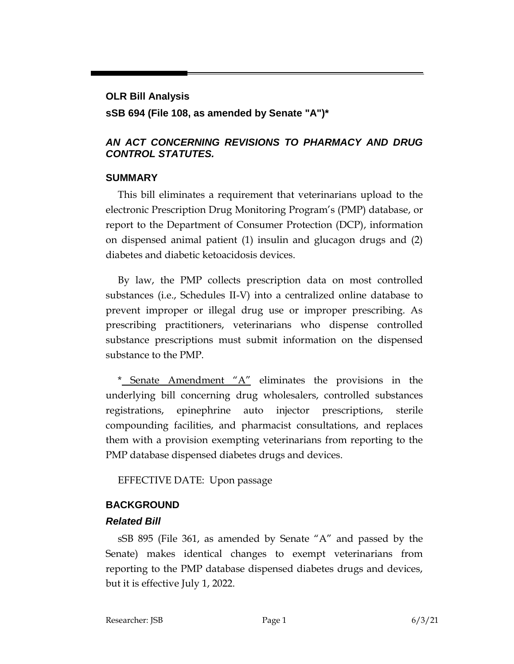# **OLR Bill Analysis sSB 694 (File 108, as amended by Senate "A")\***

#### *AN ACT CONCERNING REVISIONS TO PHARMACY AND DRUG CONTROL STATUTES.*

#### **SUMMARY**

This bill eliminates a requirement that veterinarians upload to the electronic Prescription Drug Monitoring Program's (PMP) database, or report to the Department of Consumer Protection (DCP), information on dispensed animal patient (1) insulin and glucagon drugs and (2) diabetes and diabetic ketoacidosis devices.

By law, the PMP collects prescription data on most controlled substances (i.e., Schedules II-V) into a centralized online database to prevent improper or illegal drug use or improper prescribing. As prescribing practitioners, veterinarians who dispense controlled substance prescriptions must submit information on the dispensed substance to the PMP.

\* Senate Amendment  $A''$  eliminates the provisions in the underlying bill concerning drug wholesalers, controlled substances registrations, epinephrine auto injector prescriptions, sterile compounding facilities, and pharmacist consultations, and replaces them with a provision exempting veterinarians from reporting to the PMP database dispensed diabetes drugs and devices.

EFFECTIVE DATE: Upon passage

### **BACKGROUND**

### *Related Bill*

sSB 895 (File 361, as amended by Senate "A" and passed by the Senate) makes identical changes to exempt veterinarians from reporting to the PMP database dispensed diabetes drugs and devices, but it is effective July 1, 2022.